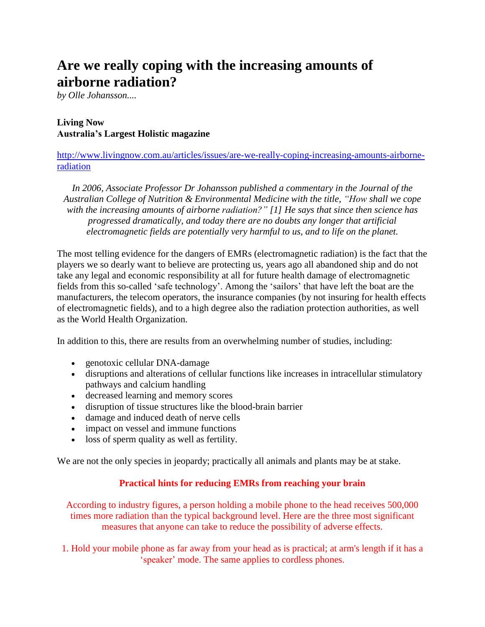# **Are we really coping with the increasing amounts of airborne radiation?**

*by Olle Johansson....*

## **Living Now Australia's Largest Holistic magazine**

[http://www.livingnow.com.au/articles/issues/are-we-really-coping-increasing-amounts-airborne](http://www.livingnow.com.au/articles/issues/are-we-really-coping-increasing-amounts-airborne-radiation)[radiation](http://www.livingnow.com.au/articles/issues/are-we-really-coping-increasing-amounts-airborne-radiation)

*In 2006, Associate Professor Dr Johansson published a commentary in the Journal of the Australian College of Nutrition & Environmental Medicine with the title, "How shall we cope with the increasing amounts of airborne radiation?" [1] He says that since then science has progressed dramatically, and today there are no doubts any longer that artificial electromagnetic fields are potentially very harmful to us, and to life on the planet.*

The most telling evidence for the dangers of EMRs (electromagnetic radiation) is the fact that the players we so dearly want to believe are protecting us, years ago all abandoned ship and do not take any legal and economic responsibility at all for future health damage of electromagnetic fields from this so-called 'safe technology'. Among the 'sailors' that have left the boat are the manufacturers, the telecom operators, the insurance companies (by not insuring for health effects of electromagnetic fields), and to a high degree also the radiation protection authorities, as well as the World Health Organization.

In addition to this, there are results from an overwhelming number of studies, including:

- genotoxic cellular DNA-damage
- disruptions and alterations of cellular functions like increases in intracellular stimulatory pathways and calcium handling
- decreased learning and memory scores
- disruption of tissue structures like the blood-brain barrier
- damage and induced death of nerve cells
- impact on vessel and immune functions
- loss of sperm quality as well as fertility.

We are not the only species in jeopardy; practically all animals and plants may be at stake.

## **Practical hints for reducing EMRs from reaching your brain**

According to industry figures, a person holding a mobile phone to the head receives 500,000 times more radiation than the typical background level. Here are the three most significant measures that anyone can take to reduce the possibility of adverse effects.

1. Hold your mobile phone as far away from your head as is practical; at arm's length if it has a 'speaker' mode. The same applies to cordless phones.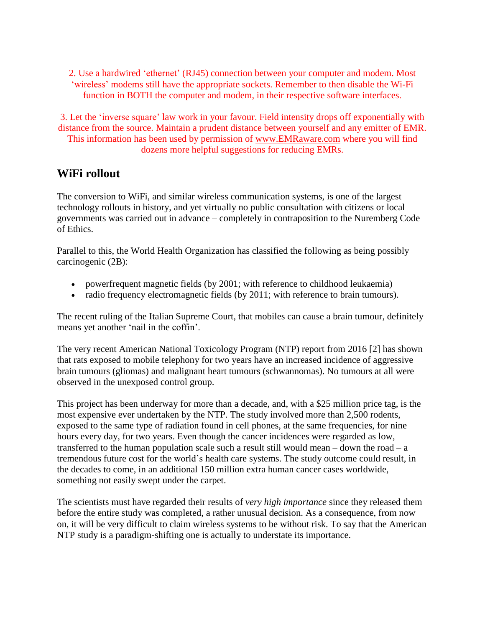2. Use a hardwired 'ethernet' (RJ45) connection between your computer and modem. Most 'wireless' modems still have the appropriate sockets. Remember to then disable the Wi-Fi function in BOTH the computer and modem, in their respective software interfaces.

3. Let the 'inverse square' law work in your favour. Field intensity drops off exponentially with distance from the source. Maintain a prudent distance between yourself and any emitter of EMR. This information has been used by permission of [www.EMRaware.com](http://www.emraware.com/) where you will find dozens more helpful suggestions for reducing EMRs.

# **WiFi rollout**

The conversion to WiFi, and similar wireless communication systems, is one of the largest technology rollouts in history, and yet virtually no public consultation with citizens or local governments was carried out in advance – completely in contraposition to the Nuremberg Code of Ethics.

Parallel to this, the World Health Organization has classified the following as being possibly carcinogenic (2B):

- powerfrequent magnetic fields (by 2001; with reference to childhood leukaemia)
- radio frequency electromagnetic fields (by 2011; with reference to brain tumours).

The recent ruling of the Italian Supreme Court, that mobiles can cause a brain tumour, definitely means yet another 'nail in the coffin'.

The very recent American National Toxicology Program (NTP) report from 2016 [2] has shown that rats exposed to mobile telephony for two years have an increased incidence of aggressive brain tumours (gliomas) and malignant heart tumours (schwannomas). No tumours at all were observed in the unexposed control group.

This project has been underway for more than a decade, and, with a \$25 million price tag, is the most expensive ever undertaken by the NTP. The study involved more than 2,500 rodents, exposed to the same type of radiation found in cell phones, at the same frequencies, for nine hours every day, for two years. Even though the cancer incidences were regarded as low, transferred to the human population scale such a result still would mean  $-$  down the road  $-$  a tremendous future cost for the world's health care systems. The study outcome could result, in the decades to come, in an additional 150 million extra human cancer cases worldwide, something not easily swept under the carpet.

The scientists must have regarded their results of *very high importance* since they released them before the entire study was completed, a rather unusual decision. As a consequence, from now on, it will be very difficult to claim wireless systems to be without risk. To say that the American NTP study is a paradigm-shifting one is actually to understate its importance.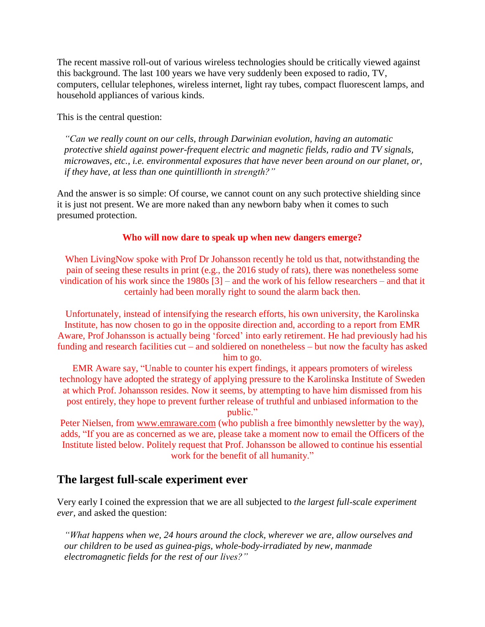The recent massive roll-out of various wireless technologies should be critically viewed against this background. The last 100 years we have very suddenly been exposed to radio, TV, computers, cellular telephones, wireless internet, light ray tubes, compact fluorescent lamps, and household appliances of various kinds.

This is the central question:

*"Can we really count on our cells, through Darwinian evolution, having an automatic protective shield against power-frequent electric and magnetic fields, radio and TV signals, microwaves, etc., i.e. environmental exposures that have never been around on our planet, or, if they have, at less than one quintillionth in strength?"*

And the answer is so simple: Of course, we cannot count on any such protective shielding since it is just not present. We are more naked than any newborn baby when it comes to such presumed protection.

#### **Who will now dare to speak up when new dangers emerge?**

When LivingNow spoke with Prof Dr Johansson recently he told us that, notwithstanding the pain of seeing these results in print (e.g., the 2016 study of rats), there was nonetheless some vindication of his work since the 1980s [3] – and the work of his fellow researchers – and that it certainly had been morally right to sound the alarm back then.

Unfortunately, instead of intensifying the research efforts, his own university, the Karolinska Institute, has now chosen to go in the opposite direction and, according to a report from EMR Aware, Prof Johansson is actually being 'forced' into early retirement. He had previously had his funding and research facilities cut – and soldiered on nonetheless – but now the faculty has asked him to go.

EMR Aware say, "Unable to counter his expert findings, it appears promoters of wireless technology have adopted the strategy of applying pressure to the Karolinska Institute of Sweden at which Prof. Johansson resides. Now it seems, by attempting to have him dismissed from his post entirely, they hope to prevent further release of truthful and unbiased information to the public."

Peter Nielsen, from [www.emraware.com](http://www.emraware.com/) (who publish a free bimonthly newsletter by the way), adds, "If you are as concerned as we are, please take a moment now to email the Officers of the Institute listed below. Politely request that Prof. Johansson be allowed to continue his essential work for the benefit of all humanity."

# **The largest full-scale experiment ever**

Very early I coined the expression that we are all subjected to *the largest full-scale experiment ever,* and asked the question:

*"What happens when we, 24 hours around the clock, wherever we are, allow ourselves and our children to be used as guinea-pigs, whole-body-irradiated by new, manmade electromagnetic fields for the rest of our lives?"*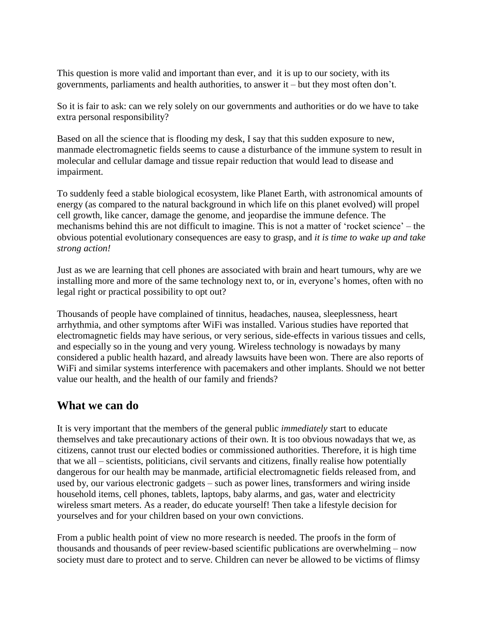This question is more valid and important than ever, and it is up to our society, with its governments, parliaments and health authorities, to answer it – but they most often don't.

So it is fair to ask: can we rely solely on our governments and authorities or do we have to take extra personal responsibility?

Based on all the science that is flooding my desk, I say that this sudden exposure to new, manmade electromagnetic fields seems to cause a disturbance of the immune system to result in molecular and cellular damage and tissue repair reduction that would lead to disease and impairment.

To suddenly feed a stable biological ecosystem, like Planet Earth, with astronomical amounts of energy (as compared to the natural background in which life on this planet evolved) will propel cell growth, like cancer, damage the genome, and jeopardise the immune defence. The mechanisms behind this are not difficult to imagine. This is not a matter of 'rocket science' – the obvious potential evolutionary consequences are easy to grasp, and *it is time to wake up and take strong action!*

Just as we are learning that cell phones are associated with brain and heart tumours, why are we installing more and more of the same technology next to, or in, everyone's homes, often with no legal right or practical possibility to opt out?

Thousands of people have complained of tinnitus, headaches, nausea, sleeplessness, heart arrhythmia, and other symptoms after WiFi was installed. Various studies have reported that electromagnetic fields may have serious, or very serious, side-effects in various tissues and cells, and especially so in the young and very young. Wireless technology is nowadays by many considered a public health hazard, and already lawsuits have been won. There are also reports of WiFi and similar systems interference with pacemakers and other implants. Should we not better value our health, and the health of our family and friends?

# **What we can do**

It is very important that the members of the general public *immediately* start to educate themselves and take precautionary actions of their own. It is too obvious nowadays that we, as citizens, cannot trust our elected bodies or commissioned authorities. Therefore, it is high time that we all – scientists, politicians, civil servants and citizens, finally realise how potentially dangerous for our health may be manmade, artificial electromagnetic fields released from, and used by, our various electronic gadgets – such as power lines, transformers and wiring inside household items, cell phones, tablets, laptops, baby alarms, and gas, water and electricity wireless smart meters. As a reader, do educate yourself! Then take a lifestyle decision for yourselves and for your children based on your own convictions.

From a public health point of view no more research is needed. The proofs in the form of thousands and thousands of peer review-based scientific publications are overwhelming – now society must dare to protect and to serve. Children can never be allowed to be victims of flimsy